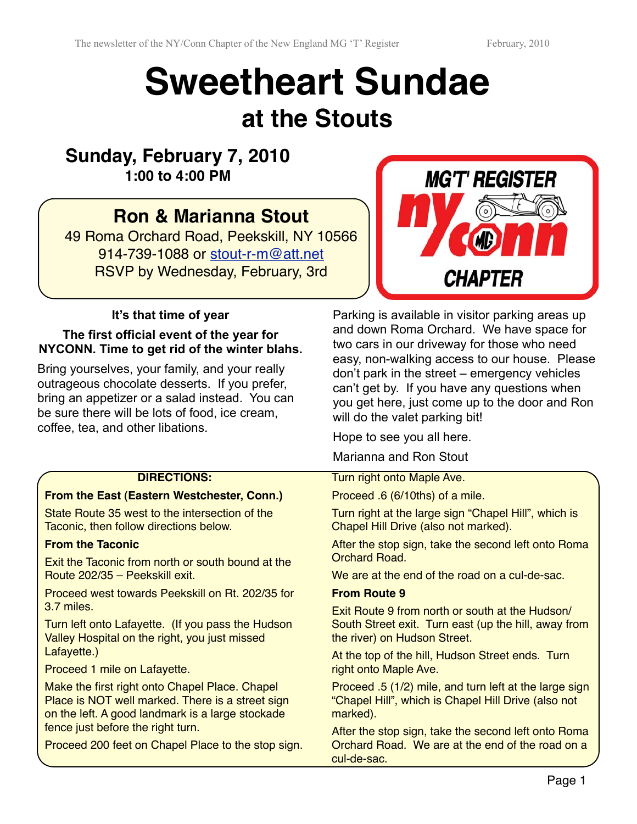# **Sweetheart Sundae at the Stouts**

### **Sunday, February 7, 2010 1:00 to 4:00 PM**

## **Ron & Marianna Stout**

49 Roma Orchard Road, Peekskill, NY 10566 914-739-1088 or [stout-r-m@att.net](mailto:stout-r-m@att.net) RSVP by Wednesday, February, 3rd



#### **It's that time of year**

#### **The first official event of the year for NYCONN. Time to get rid of the winter blahs.**

Bring yourselves, your family, and your really outrageous chocolate desserts. If you prefer, bring an appetizer or a salad instead. You can be sure there will be lots of food, ice cream, coffee, tea, and other libations.

#### Parking is available in visitor parking areas up and down Roma Orchard. We have space for two cars in our driveway for those who need easy, non-walking access to our house. Please don't park in the street – emergency vehicles can't get by. If you have any questions when you get here, just come up to the door and Ron will do the valet parking bit!

Hope to see you all here.

Marianna and Ron Stout

Turn right onto Maple Ave.

Proceed .6 (6/10ths) of a mile.

Turn right at the large sign "Chapel Hill", which is Chapel Hill Drive (also not marked).

After the stop sign, take the second left onto Roma Orchard Road.

We are at the end of the road on a cul-de-sac.

#### **From Route 9**

Exit Route 9 from north or south at the Hudson/ South Street exit. Turn east (up the hill, away from the river) on Hudson Street.

At the top of the hill, Hudson Street ends. Turn right onto Maple Ave.

Proceed .5 (1/2) mile, and turn left at the large sign "Chapel Hill", which is Chapel Hill Drive (also not marked).

After the stop sign, take the second left onto Roma Orchard Road. We are at the end of the road on a cul-de-sac.

#### **DIRECTIONS:**

#### **From the East (Eastern Westchester, Conn.)**

State Route 35 west to the intersection of the Taconic, then follow directions below.

#### **From the Taconic**

Exit the Taconic from north or south bound at the Route 202/35 – Peekskill exit.

Proceed west towards Peekskill on Rt. 202/35 for 3.7 miles.

Turn left onto Lafayette. (If you pass the Hudson Valley Hospital on the right, you just missed Lafayette.)

Proceed 1 mile on Lafayette.

Make the first right onto Chapel Place. Chapel Place is NOT well marked. There is a street sign on the left. A good landmark is a large stockade fence just before the right turn.

Proceed 200 feet on Chapel Place to the stop sign.